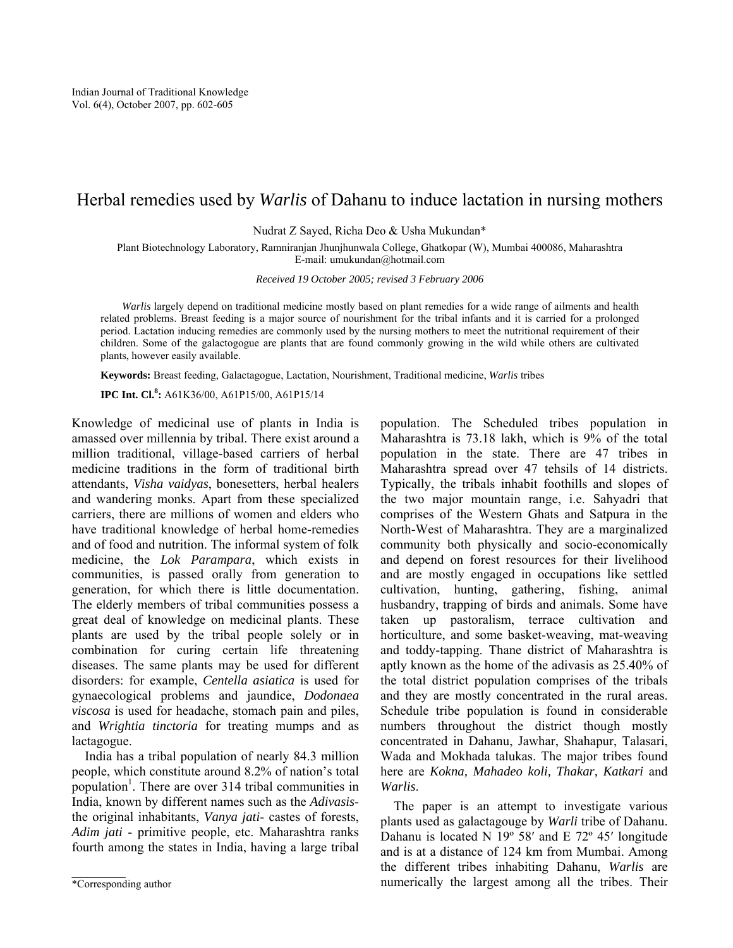# Herbal remedies used by *Warlis* of Dahanu to induce lactation in nursing mothers

Nudrat Z Sayed, Richa Deo & Usha Mukundan\*

Plant Biotechnology Laboratory, Ramniranjan Jhunjhunwala College, Ghatkopar (W), Mumbai 400086, Maharashtra E-mail: umukundan@hotmail.com

*Received 19 October 2005; revised 3 February 2006* 

*Warlis* largely depend on traditional medicine mostly based on plant remedies for a wide range of ailments and health related problems. Breast feeding is a major source of nourishment for the tribal infants and it is carried for a prolonged period. Lactation inducing remedies are commonly used by the nursing mothers to meet the nutritional requirement of their children. Some of the galactogogue are plants that are found commonly growing in the wild while others are cultivated plants, however easily available.

**Keywords:** Breast feeding, Galactagogue, Lactation, Nourishment, Traditional medicine, *Warlis* tribes

**IPC Int. Cl.<sup>8</sup> :** A61K36/00, A61P15/00, A61P15/14

Knowledge of medicinal use of plants in India is amassed over millennia by tribal. There exist around a million traditional, village-based carriers of herbal medicine traditions in the form of traditional birth attendants, *Visha vaidyas*, bonesetters, herbal healers and wandering monks. Apart from these specialized carriers, there are millions of women and elders who have traditional knowledge of herbal home-remedies and of food and nutrition. The informal system of folk medicine, the *Lok Parampara*, which exists in communities, is passed orally from generation to generation, for which there is little documentation. The elderly members of tribal communities possess a great deal of knowledge on medicinal plants. These plants are used by the tribal people solely or in combination for curing certain life threatening diseases. The same plants may be used for different disorders: for example, *Centella asiatica* is used for gynaecological problems and jaundice, *Dodonaea viscosa* is used for headache, stomach pain and piles, and *Wrightia tinctoria* for treating mumps and as lactagogue.

 India has a tribal population of nearly 84.3 million people, which constitute around 8.2% of nation's total population<sup>1</sup>. There are over 314 tribal communities in India, known by different names such as the *Adivasis*the original inhabitants, *Vanya jati*- castes of forests, *Adim jati* - primitive people, etc. Maharashtra ranks fourth among the states in India, having a large tribal

population. The Scheduled tribes population in Maharashtra is 73.18 lakh, which is 9% of the total population in the state. There are 47 tribes in Maharashtra spread over 47 tehsils of 14 districts. Typically, the tribals inhabit foothills and slopes of the two major mountain range, i.e. Sahyadri that comprises of the Western Ghats and Satpura in the North-West of Maharashtra. They are a marginalized community both physically and socio-economically and depend on forest resources for their livelihood and are mostly engaged in occupations like settled cultivation, hunting, gathering, fishing, animal husbandry, trapping of birds and animals. Some have taken up pastoralism, terrace cultivation and horticulture, and some basket-weaving, mat-weaving and toddy-tapping. Thane district of Maharashtra is aptly known as the home of the adivasis as 25.40% of the total district population comprises of the tribals and they are mostly concentrated in the rural areas. Schedule tribe population is found in considerable numbers throughout the district though mostly concentrated in Dahanu, Jawhar, Shahapur, Talasari, Wada and Mokhada talukas. The major tribes found here are *Kokna, Mahadeo koli, Thakar, Katkari* and *Warlis*.

 The paper is an attempt to investigate various plants used as galactagouge by *Warli* tribe of Dahanu. Dahanu is located N 19º 58′ and E 72º 45′ longitude and is at a distance of 124 km from Mumbai. Among the different tribes inhabiting Dahanu, *Warlis* are numerically the largest among all the tribes. Their

<sup>\*</sup>Corresponding author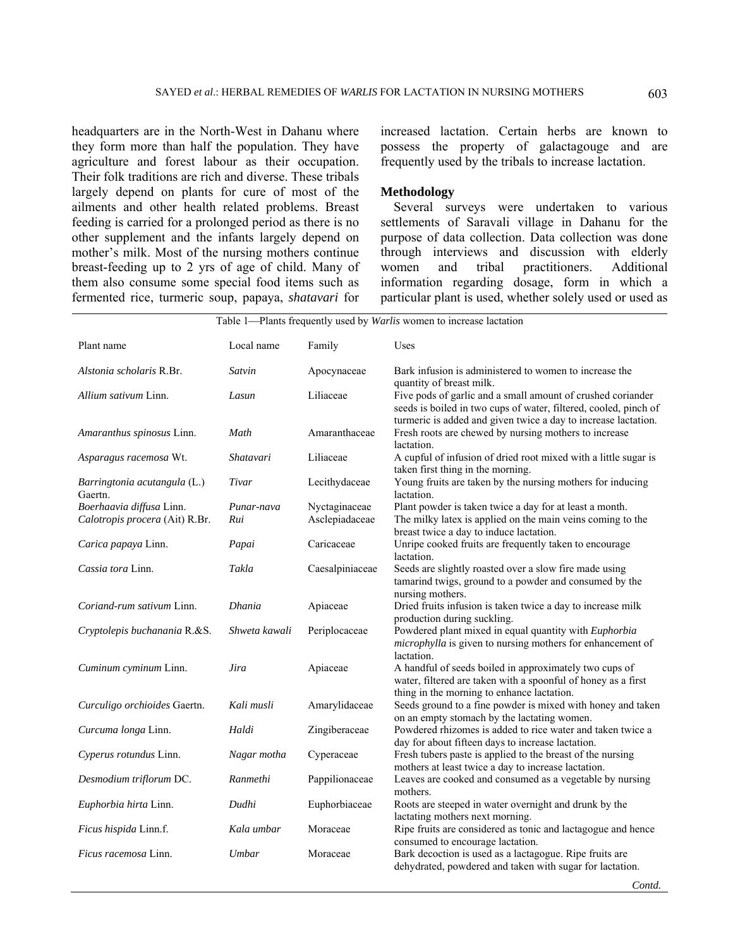headquarters are in the North-West in Dahanu where they form more than half the population. They have agriculture and forest labour as their occupation. Their folk traditions are rich and diverse. These tribals largely depend on plants for cure of most of the ailments and other health related problems. Breast feeding is carried for a prolonged period as there is no other supplement and the infants largely depend on mother's milk. Most of the nursing mothers continue breast-feeding up to 2 yrs of age of child. Many of them also consume some special food items such as fermented rice, turmeric soup, papaya, *shatavari* for increased lactation. Certain herbs are known to possess the property of galactagouge and are frequently used by the tribals to increase lactation.

## **Methodology**

 Several surveys were undertaken to various settlements of Saravali village in Dahanu for the purpose of data collection. Data collection was done through interviews and discussion with elderly women and tribal practitioners. Additional information regarding dosage, form in which a particular plant is used, whether solely used or used as

| Table 1—Plants frequently used by <i>Warlis</i> women to increase lactation |                   |                                 |                                                                                                                                                                                                   |  |  |
|-----------------------------------------------------------------------------|-------------------|---------------------------------|---------------------------------------------------------------------------------------------------------------------------------------------------------------------------------------------------|--|--|
| Plant name                                                                  | Local name        | Family                          | Uses                                                                                                                                                                                              |  |  |
| Alstonia scholaris R.Br.                                                    | Satvin            | Apocynaceae                     | Bark infusion is administered to women to increase the<br>quantity of breast milk.                                                                                                                |  |  |
| Allium sativum Linn.                                                        | Lasun             | Liliaceae                       | Five pods of garlic and a small amount of crushed coriander<br>seeds is boiled in two cups of water, filtered, cooled, pinch of<br>turmeric is added and given twice a day to increase lactation. |  |  |
| Amaranthus spinosus Linn.                                                   | Math              | Amaranthaceae                   | Fresh roots are chewed by nursing mothers to increase<br>lactation.                                                                                                                               |  |  |
| Asparagus racemosa Wt.                                                      | Shatavari         | Liliaceae                       | A cupful of infusion of dried root mixed with a little sugar is<br>taken first thing in the morning.                                                                                              |  |  |
| Barringtonia acutangula (L.)<br>Gaertn.                                     | Tivar             | Lecithydaceae                   | Young fruits are taken by the nursing mothers for inducing<br>lactation.                                                                                                                          |  |  |
| Boerhaavia diffusa Linn.<br>Calotropis procera (Ait) R.Br.                  | Punar-nava<br>Rui | Nyctaginaceae<br>Asclepiadaceae | Plant powder is taken twice a day for at least a month.<br>The milky latex is applied on the main veins coming to the<br>breast twice a day to induce lactation.                                  |  |  |
| Carica papaya Linn.                                                         | Papai             | Caricaceae                      | Unripe cooked fruits are frequently taken to encourage<br>lactation.                                                                                                                              |  |  |
| Cassia tora Linn.                                                           | Takla             | Caesalpiniaceae                 | Seeds are slightly roasted over a slow fire made using<br>tamarind twigs, ground to a powder and consumed by the<br>nursing mothers.                                                              |  |  |
| Coriand-rum sativum Linn.                                                   | Dhania            | Apiaceae                        | Dried fruits infusion is taken twice a day to increase milk<br>production during suckling.                                                                                                        |  |  |
| Cryptolepis buchanania R.&S.                                                | Shweta kawali     | Periplocaceae                   | Powdered plant mixed in equal quantity with Euphorbia<br><i>microphylla</i> is given to nursing mothers for enhancement of<br>lactation.                                                          |  |  |
| Cuminum cyminum Linn.                                                       | Jira              | Apiaceae                        | A handful of seeds boiled in approximately two cups of<br>water, filtered are taken with a spoonful of honey as a first<br>thing in the morning to enhance lactation.                             |  |  |
| Curculigo orchioides Gaertn.                                                | Kali musli        | Amarylidaceae                   | Seeds ground to a fine powder is mixed with honey and taken<br>on an empty stomach by the lactating women.                                                                                        |  |  |
| Curcuma longa Linn.                                                         | Haldi             | Zingiberaceae                   | Powdered rhizomes is added to rice water and taken twice a<br>day for about fifteen days to increase lactation.                                                                                   |  |  |
| Cyperus rotundus Linn.                                                      | Nagar motha       | Cyperaceae                      | Fresh tubers paste is applied to the breast of the nursing<br>mothers at least twice a day to increase lactation.                                                                                 |  |  |
| Desmodium triflorum DC.                                                     | Ranmethi          | Pappilionaceae                  | Leaves are cooked and consumed as a vegetable by nursing<br>mothers.                                                                                                                              |  |  |
| Euphorbia hirta Linn.                                                       | Dudhi             | Euphorbiaceae                   | Roots are steeped in water overnight and drunk by the<br>lactating mothers next morning.                                                                                                          |  |  |
| Ficus hispida Linn.f.                                                       | Kala umbar        | Moraceae                        | Ripe fruits are considered as tonic and lactagogue and hence<br>consumed to encourage lactation.                                                                                                  |  |  |
| <i>Ficus racemosa</i> Linn.                                                 | Umbar             | Moraceae                        | Bark decoction is used as a lactagogue. Ripe fruits are<br>dehydrated, powdered and taken with sugar for lactation.                                                                               |  |  |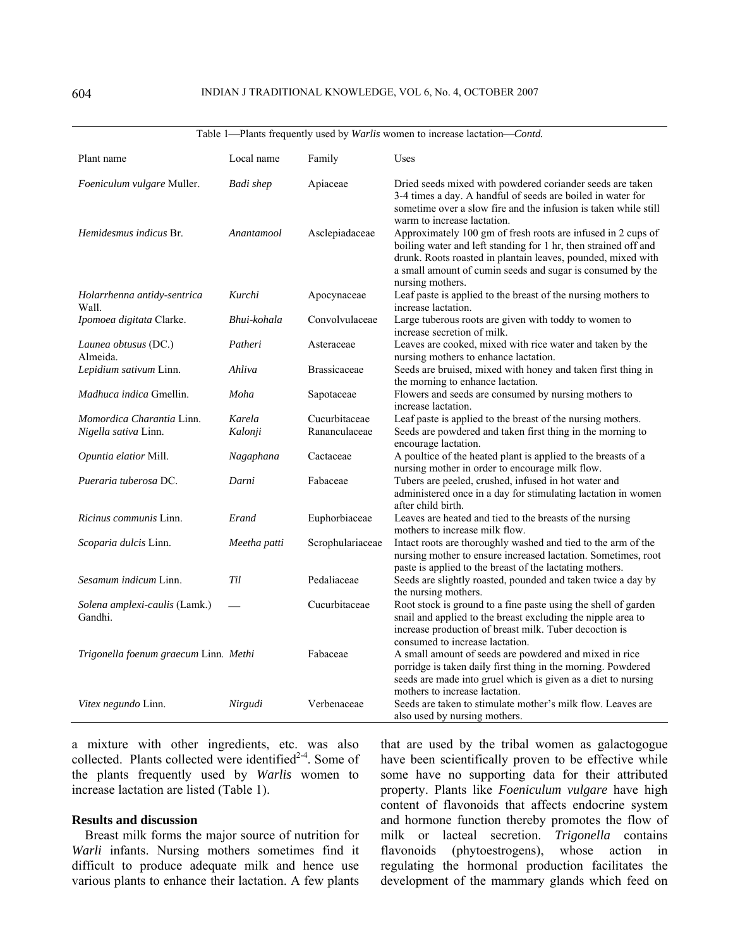|                                          |                  |                     | rative $1$ — rains requestly used by <i>warts</i> wonten to increase factation—c <i>onta</i> .                                                                                                                                                                                    |
|------------------------------------------|------------------|---------------------|-----------------------------------------------------------------------------------------------------------------------------------------------------------------------------------------------------------------------------------------------------------------------------------|
| Plant name                               | Local name       | Family              | Uses                                                                                                                                                                                                                                                                              |
| Foeniculum vulgare Muller.               | <b>Badi</b> shep | Apiaceae            | Dried seeds mixed with powdered coriander seeds are taken<br>3-4 times a day. A handful of seeds are boiled in water for<br>sometime over a slow fire and the infusion is taken while still<br>warm to increase lactation.                                                        |
| <i>Hemidesmus indicus Br.</i>            | Anantamool       | Asclepiadaceae      | Approximately 100 gm of fresh roots are infused in 2 cups of<br>boiling water and left standing for 1 hr, then strained off and<br>drunk. Roots roasted in plantain leaves, pounded, mixed with<br>a small amount of cumin seeds and sugar is consumed by the<br>nursing mothers. |
| Holarrhenna antidy-sentrica<br>Wall.     | Kurchi           | Apocynaceae         | Leaf paste is applied to the breast of the nursing mothers to<br>increase lactation.                                                                                                                                                                                              |
| Ipomoea digitata Clarke.                 | Bhui-kohala      | Convolvulaceae      | Large tuberous roots are given with toddy to women to<br>increase secretion of milk.                                                                                                                                                                                              |
| Launea obtusus (DC.)<br>Almeida.         | Patheri          | Asteraceae          | Leaves are cooked, mixed with rice water and taken by the<br>nursing mothers to enhance lactation.                                                                                                                                                                                |
| Lepidium sativum Linn.                   | Ahliva           | <b>Brassicaceae</b> | Seeds are bruised, mixed with honey and taken first thing in<br>the morning to enhance lactation.                                                                                                                                                                                 |
| Madhuca indica Gmellin.                  | Moha             | Sapotaceae          | Flowers and seeds are consumed by nursing mothers to<br>increase lactation.                                                                                                                                                                                                       |
| Momordica Charantia Linn.                | Karela           | Cucurbitaceae       | Leaf paste is applied to the breast of the nursing mothers.                                                                                                                                                                                                                       |
| Nigella sativa Linn.                     | Kalonji          | Rananculaceae       | Seeds are powdered and taken first thing in the morning to<br>encourage lactation.                                                                                                                                                                                                |
| Opuntia elatior Mill.                    | Nagaphana        | Cactaceae           | A poultice of the heated plant is applied to the breasts of a<br>nursing mother in order to encourage milk flow.                                                                                                                                                                  |
| Pueraria tuberosa DC.                    | Darni            | Fabaceae            | Tubers are peeled, crushed, infused in hot water and<br>administered once in a day for stimulating lactation in women<br>after child birth.                                                                                                                                       |
| <i>Ricinus communis</i> Linn.            | Erand            | Euphorbiaceae       | Leaves are heated and tied to the breasts of the nursing<br>mothers to increase milk flow.                                                                                                                                                                                        |
| Scoparia dulcis Linn.                    | Meetha patti     | Scrophulariaceae    | Intact roots are thoroughly washed and tied to the arm of the<br>nursing mother to ensure increased lactation. Sometimes, root<br>paste is applied to the breast of the lactating mothers.                                                                                        |
| Sesamum indicum Linn.                    | Til              | Pedaliaceae         | Seeds are slightly roasted, pounded and taken twice a day by<br>the nursing mothers.                                                                                                                                                                                              |
| Solena amplexi-caulis (Lamk.)<br>Gandhi. |                  | Cucurbitaceae       | Root stock is ground to a fine paste using the shell of garden<br>snail and applied to the breast excluding the nipple area to<br>increase production of breast milk. Tuber decoction is<br>consumed to increase lactation.                                                       |
| Trigonella foenum graecum Linn. Methi    |                  | Fabaceae            | A small amount of seeds are powdered and mixed in rice<br>porridge is taken daily first thing in the morning. Powdered<br>seeds are made into gruel which is given as a diet to nursing<br>mothers to increase lactation.                                                         |
| <i>Vitex negundo Linn.</i>               | Nirgudi          | Verbenaceae         | Seeds are taken to stimulate mother's milk flow. Leaves are<br>also used by nursing mothers.                                                                                                                                                                                      |

Table 1<sup>*Plants frequently used by Warlis women to increase lactation<sup><i>Contd*</sup></sup>

a mixture with other ingredients, etc. was also collected. Plants collected were identified $2-4$ . Some of the plants frequently used by *Warlis* women to increase lactation are listed (Table 1).

### **Results and discussion**

 Breast milk forms the major source of nutrition for *Warli* infants. Nursing mothers sometimes find it difficult to produce adequate milk and hence use various plants to enhance their lactation. A few plants

that are used by the tribal women as galactogogue have been scientifically proven to be effective while some have no supporting data for their attributed property. Plants like *Foeniculum vulgare* have high content of flavonoids that affects endocrine system and hormone function thereby promotes the flow of milk or lacteal secretion. *Trigonella* contains flavonoids (phytoestrogens), whose action in regulating the hormonal production facilitates the development of the mammary glands which feed on